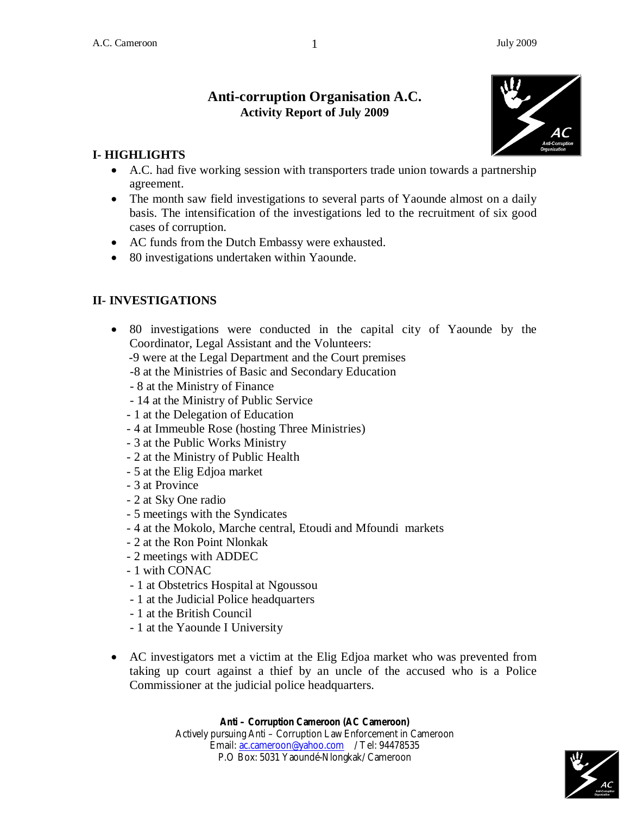# **Anti-corruption Organisation A.C. Activity Report of July 2009**



#### **I- HIGHLIGHTS**

- A.C. had five working session with transporters trade union towards a partnership agreement.
- The month saw field investigations to several parts of Yaounde almost on a daily basis. The intensification of the investigations led to the recruitment of six good cases of corruption.
- AC funds from the Dutch Embassy were exhausted.
- 80 investigations undertaken within Yaounde.

## **II- INVESTIGATIONS**

- 80 investigations were conducted in the capital city of Yaounde by the Coordinator, Legal Assistant and the Volunteers:
	- -9 were at the Legal Department and the Court premises
	- -8 at the Ministries of Basic and Secondary Education
	- 8 at the Ministry of Finance
	- 14 at the Ministry of Public Service
	- 1 at the Delegation of Education
	- 4 at Immeuble Rose (hosting Three Ministries)
	- 3 at the Public Works Ministry
	- 2 at the Ministry of Public Health
	- 5 at the Elig Edjoa market
	- 3 at Province
	- 2 at Sky One radio
	- 5 meetings with the Syndicates
	- 4 at the Mokolo, Marche central, Etoudi and Mfoundi markets
	- 2 at the Ron Point Nlonkak
	- 2 meetings with ADDEC
	- 1 with CONAC
	- 1 at Obstetrics Hospital at Ngoussou
	- 1 at the Judicial Police headquarters
	- 1 at the British Council
	- 1 at the Yaounde I University
- AC investigators met a victim at the Elig Edjoa market who was prevented from taking up court against a thief by an uncle of the accused who is a Police Commissioner at the judicial police headquarters.

#### **Anti – Corruption Cameroon (AC Cameroon)**

Actively pursuing Anti – Corruption Law Enforcement in Cameroon Email: ac.cameroon@yahoo.com / Tel: 94478535 P.O Box: 5031 Yaoundé-Nlongkak/ Cameroon

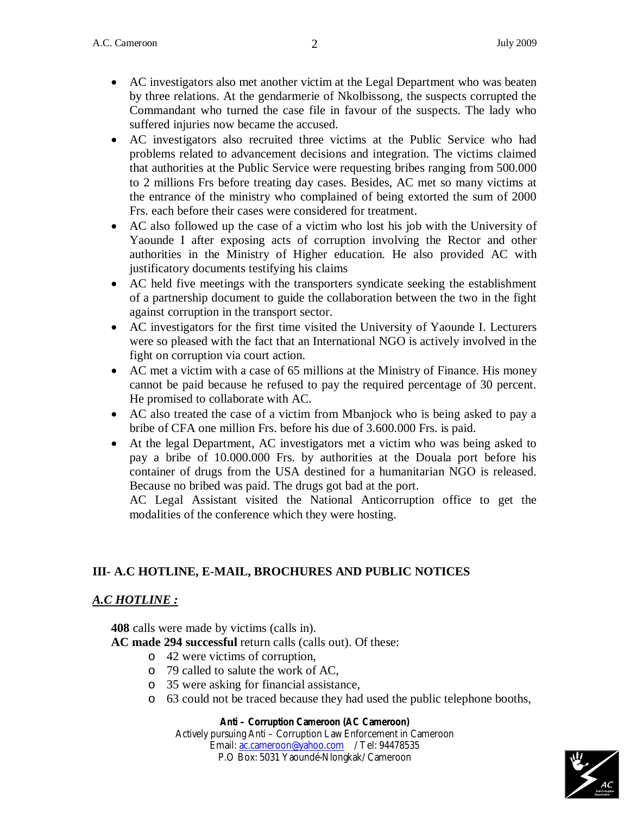- AC investigators also met another victim at the Legal Department who was beaten by three relations. At the gendarmerie of Nkolbissong, the suspects corrupted the Commandant who turned the case file in favour of the suspects. The lady who suffered injuries now became the accused.
- AC investigators also recruited three victims at the Public Service who had problems related to advancement decisions and integration. The victims claimed that authorities at the Public Service were requesting bribes ranging from 500.000 to 2 millions Frs before treating day cases. Besides, AC met so many victims at the entrance of the ministry who complained of being extorted the sum of 2000 Frs. each before their cases were considered for treatment.
- AC also followed up the case of a victim who lost his job with the University of Yaounde I after exposing acts of corruption involving the Rector and other authorities in the Ministry of Higher education. He also provided AC with justificatory documents testifying his claims
- AC held five meetings with the transporters syndicate seeking the establishment of a partnership document to guide the collaboration between the two in the fight against corruption in the transport sector.
- AC investigators for the first time visited the University of Yaounde I. Lecturers were so pleased with the fact that an International NGO is actively involved in the fight on corruption via court action.
- AC met a victim with a case of 65 millions at the Ministry of Finance. His money cannot be paid because he refused to pay the required percentage of 30 percent. He promised to collaborate with AC.
- AC also treated the case of a victim from Mbanjock who is being asked to pay a bribe of CFA one million Frs. before his due of 3.600.000 Frs. is paid.
- At the legal Department, AC investigators met a victim who was being asked to pay a bribe of 10.000.000 Frs. by authorities at the Douala port before his container of drugs from the USA destined for a humanitarian NGO is released. Because no bribed was paid. The drugs got bad at the port.

AC Legal Assistant visited the National Anticorruption office to get the modalities of the conference which they were hosting.

# **III- A.C HOTLINE, E-MAIL, BROCHURES AND PUBLIC NOTICES**

#### *A.C HOTLINE :*

**408** calls were made by victims (calls in).

- **AC made 294 successful** return calls (calls out). Of these:
	- o 42 were victims of corruption,
	- o 79 called to salute the work of AC,
	- o 35 were asking for financial assistance,
	- o 63 could not be traced because they had used the public telephone booths,

#### **Anti – Corruption Cameroon (AC Cameroon)**

Actively pursuing Anti – Corruption Law Enforcement in Cameroon Email: ac.cameroon@yahoo.com / Tel: 94478535 P.O Box: 5031 Yaoundé-Nlongkak/ Cameroon

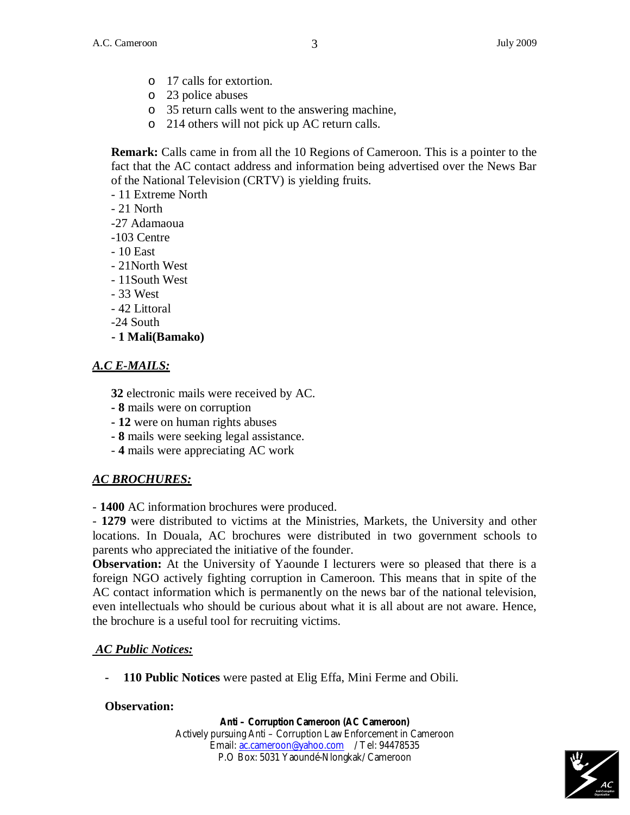- o 17 calls for extortion.
- o 23 police abuses
- o 35 return calls went to the answering machine,
- o 214 others will not pick up AC return calls.

**Remark:** Calls came in from all the 10 Regions of Cameroon. This is a pointer to the fact that the AC contact address and information being advertised over the News Bar of the National Television (CRTV) is yielding fruits.

- 11 Extreme North

- 21 North

-27 Adamaoua

- -103 Centre
- 10 East
- 21North West
- 11South West
- 33 West
- 42 Littoral
- -24 South
- **1 Mali(Bamako)**

#### *A.C E-MAILS:*

**32** electronic mails were received by AC.

- **- 8** mails were on corruption
- **12** were on human rights abuses
- **8** mails were seeking legal assistance.
- **4** mails were appreciating AC work

## *AC BROCHURES:*

- **1400** AC information brochures were produced.

- **1279** were distributed to victims at the Ministries, Markets, the University and other locations. In Douala, AC brochures were distributed in two government schools to parents who appreciated the initiative of the founder.

**Observation:** At the University of Yaounde I lecturers were so pleased that there is a foreign NGO actively fighting corruption in Cameroon. This means that in spite of the AC contact information which is permanently on the news bar of the national television, even intellectuals who should be curious about what it is all about are not aware. Hence, the brochure is a useful tool for recruiting victims.

## *AC Public Notices:*

**- 110 Public Notices** were pasted at Elig Effa, Mini Ferme and Obili.

#### **Observation:**

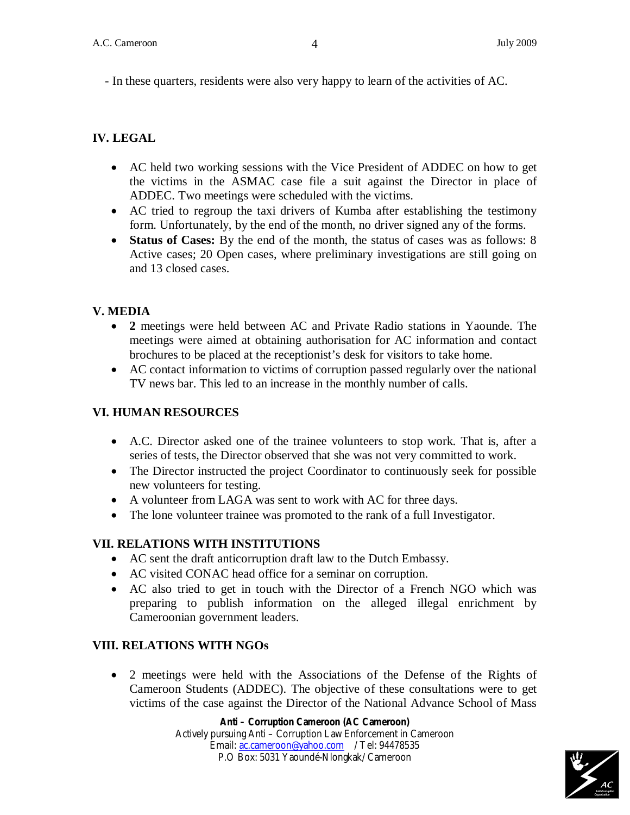- In these quarters, residents were also very happy to learn of the activities of AC.

# **IV. LEGAL**

- AC held two working sessions with the Vice President of ADDEC on how to get the victims in the ASMAC case file a suit against the Director in place of ADDEC. Two meetings were scheduled with the victims.
- AC tried to regroup the taxi drivers of Kumba after establishing the testimony form. Unfortunately, by the end of the month, no driver signed any of the forms.
- **Status of Cases:** By the end of the month, the status of cases was as follows: 8 Active cases; 20 Open cases, where preliminary investigations are still going on and 13 closed cases.

## **V. MEDIA**

- **2** meetings were held between AC and Private Radio stations in Yaounde. The meetings were aimed at obtaining authorisation for AC information and contact brochures to be placed at the receptionist's desk for visitors to take home.
- AC contact information to victims of corruption passed regularly over the national TV news bar. This led to an increase in the monthly number of calls.

# **VI. HUMAN RESOURCES**

- A.C. Director asked one of the trainee volunteers to stop work. That is, after a series of tests, the Director observed that she was not very committed to work.
- The Director instructed the project Coordinator to continuously seek for possible new volunteers for testing.
- A volunteer from LAGA was sent to work with AC for three days.
- The lone volunteer trainee was promoted to the rank of a full Investigator.

## **VII. RELATIONS WITH INSTITUTIONS**

- AC sent the draft anticorruption draft law to the Dutch Embassy.
- AC visited CONAC head office for a seminar on corruption.
- AC also tried to get in touch with the Director of a French NGO which was preparing to publish information on the alleged illegal enrichment by Cameroonian government leaders.

## **VIII. RELATIONS WITH NGOs**

 2 meetings were held with the Associations of the Defense of the Rights of Cameroon Students (ADDEC). The objective of these consultations were to get victims of the case against the Director of the National Advance School of Mass